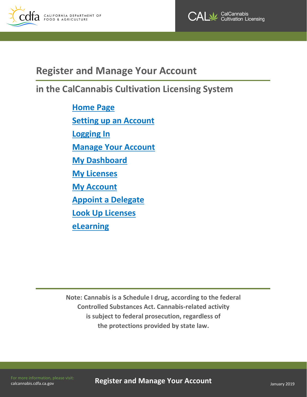



## **Register and Manage Your Account**

# **in the CalCannabis Cultivation Licensing System**

**[Home](#page-1-0) Page [Setting up an Account](#page-1-1) [Logging In](#page-3-0) Manage [Your Account](#page-4-0) [My Dashboard](#page-4-1) [My Licenses](#page-4-2) [My Account](#page-5-0) Appoint [a Delegate](#page-6-0) [Look Up Licenses](#page-8-0) [eLearning](#page-10-0)**

**Note: Cannabis is a Schedule I drug, according to the federal Controlled Substances Act. Cannabis-related activity is subject to federal prosecution, regardless of the protections provided by state law.**

[calcannabis.cdfa.ca.gov](http://calcannabis.cdfa.ca.gov/) 

For more information, please visit: **Register and Manage Your Account** January 2019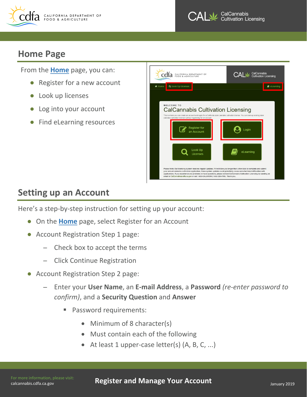



### <span id="page-1-0"></span>**Home Page**

From the **[Home](https://aca6.accela.com/calcannabis/)** page, you can:

- Register for a new account
- Look up licenses
- Log into your account
- Find eLearning resources



# <span id="page-1-1"></span>**Setting up an Account**

Here's a step-by-step instruction for setting up your account:

- On the **[Home](https://aca6.accela.com/calcannabis/)** page, select Register for an Account
- Account Registration Step 1 page:
	- Check box to accept the terms
	- Click Continue Registration
- Account Registration Step 2 page:
	- Enter your **User Name**, an **E-mail Address**, a **Password** *(re-enter password to confirm)*, and a **Security Question** and **Answer**
		- Password requirements:
			- Minimum of 8 character(s)
			- Must contain each of the following
			- At least 1 upper-case letter(s) (A, B, C, ...)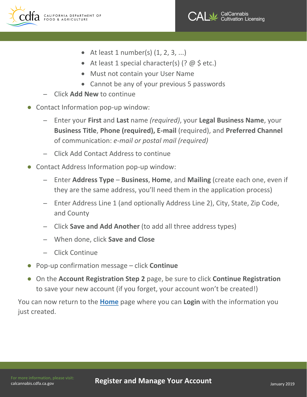



- At least 1 number(s)  $(1, 2, 3, ...)$
- At least 1 special character(s)  $($ ? @ \$ etc.)
- Must not contain your User Name
- Cannot be any of your previous 5 passwords
- Click **Add New** to continue
- Contact Information pop-up window:
	- Enter your **First** and **Last** name *(required)*, your **Legal Business Name**, your **Business Title**, **Phone (required), E-mail** (required), and **Preferred Channel** of communication: *e-mail or postal mail (required)*
	- Click Add Contact Address to continue
- Contact Address Information pop-up window:
	- Enter **Address Type Business**, **Home**, and **Mailing** (create each one, even if they are the same address, you'll need them in the application process)
	- Enter Address Line 1 (and optionally Address Line 2), City, State, Zip Code, and County
	- Click **Save and Add Another** (to add all three address types)
	- When done, click **Save and Close**
	- Click Continue
- Pop-up confirmation message click **Continue**
- On the **Account Registration Step 2** page, be sure to click **Continue Registration** to save your new account (if you forget, your account won't be created!)

You can now return to the **[Home](https://aca6.accela.com/calcannabis/)** page where you can **Login** with the information you just created.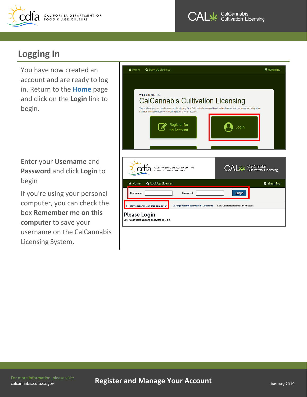



## <span id="page-3-0"></span>**Logging In**

You have now created an account and are ready to log in. Return to the **[Home](https://aca6.accela.com/calcannabis/)** page and click on the **Login** link to begin.

Enter your **Username** and **Password** and click **Login** to begin

If you're using your personal computer, you can check the box **Remember me on this computer** to save your username on the CalCannabis Licensing System.

| <br><b>A</b> Home<br><b>Q</b> Look Up Licenses                                                                                                                                                                                                                              | $\blacksquare$ eLearning                              |
|-----------------------------------------------------------------------------------------------------------------------------------------------------------------------------------------------------------------------------------------------------------------------------|-------------------------------------------------------|
|                                                                                                                                                                                                                                                                             |                                                       |
| <b>WELCOME TO</b><br><b>CalCannabis Cultivation Licensing</b><br>This is where you can create an account and apply for a California state cannabis cultivation license. You can look up existing state<br>cannabis cultivation licenses without registering for an account. |                                                       |
| <b>Register for</b><br>Loain<br>an Account                                                                                                                                                                                                                                  |                                                       |
|                                                                                                                                                                                                                                                                             |                                                       |
| CALIFORNIA DEPARTMENT OF<br>FOOD & AGRICULTURE                                                                                                                                                                                                                              | <b>CALM</b> CalCannabis<br>CALM Cultivation Licensing |
| Q Look Up Licenses<br>备 Home                                                                                                                                                                                                                                                | $\mathbf{\Theta}$ eLearning                           |
| Login<br>Username:<br>Password:                                                                                                                                                                                                                                             |                                                       |
| I've forgotten my password or username<br>Remember me on this computer<br>New Users: Register for an Account                                                                                                                                                                |                                                       |
| Please Login<br>Enter your username and password to log in                                                                                                                                                                                                                  |                                                       |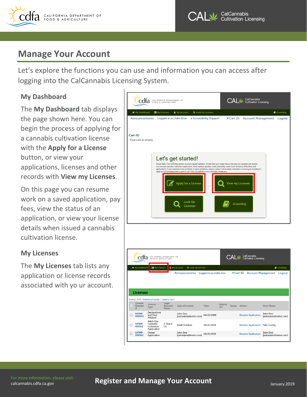



### <span id="page-4-0"></span>**Manage Your Account**

Let's explore the functions you can use and information you can access after logging into the CalCannabis Licensing System.

### <span id="page-4-1"></span>**My Dashboard**

The **My Dashboard** tab displays the page shown here. You can begin the process of applying for a cannabis cultivation license with the **Apply for a License**  button, or view your applications, licenses and other records with **View my Licenses**.

On this page you can resume work on a saved application, pay fees, view the status of an application, or view your license details when issued a cannabis cultivation license.

#### <span id="page-4-2"></span>**My Licenses**

The **My Licenses** tab lists any application or license records associated with yo ur account.



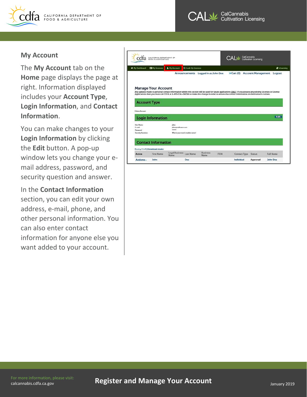

CalCannabis **Cultivation Licensing** 

#### <span id="page-5-0"></span>**My Account**

The **My Account** tab on the **Home** page displays the page at right. Information displayed includes your **Account Type**, **Login Information**, and **Contact Information**.

You can make changes to your **Login Information** by clicking the **Edit** button. A pop-up window lets you change your email address, password, and security question and answer.

In the **Contact Information** section, you can edit your own address, e-mail, phone, and other personal information. You can also enter contact information for anyone else you want added to your account.

| * My Dashboard                                                               | <b>ED</b> My Licenses               | & My Account                     | <b>Q</b> Look Up Licenses |                                                                                                                                                                 |      |                     |          |                                    | & elearning     |
|------------------------------------------------------------------------------|-------------------------------------|----------------------------------|---------------------------|-----------------------------------------------------------------------------------------------------------------------------------------------------------------|------|---------------------|----------|------------------------------------|-----------------|
|                                                                              |                                     |                                  |                           |                                                                                                                                                                 |      |                     |          |                                    |                 |
|                                                                              |                                     |                                  |                           | Announcements Logged in as:John Doe                                                                                                                             |      |                     |          | Cart (0) Account Management Logout |                 |
|                                                                              |                                     |                                  |                           |                                                                                                                                                                 |      |                     |          |                                    |                 |
|                                                                              |                                     |                                  |                           |                                                                                                                                                                 |      |                     |          |                                    |                 |
|                                                                              |                                     |                                  |                           |                                                                                                                                                                 |      |                     |          |                                    |                 |
|                                                                              | <b>Manage Your Account</b>          |                                  |                           |                                                                                                                                                                 |      |                     |          |                                    |                 |
|                                                                              |                                     |                                  |                           | Any updates made to personal contact information within this section will be used for future applications ONLY. If you possess any existing Licenses or License |      |                     |          |                                    |                 |
|                                                                              |                                     |                                  |                           | Applications then you must call CDFA at 1-833-CAL-GROW to make this change in order to ensure the contact information on the license is current.                |      |                     |          |                                    |                 |
|                                                                              |                                     |                                  |                           |                                                                                                                                                                 |      |                     |          |                                    |                 |
|                                                                              |                                     |                                  |                           |                                                                                                                                                                 |      |                     |          |                                    |                 |
| <b>Account Type</b>                                                          |                                     |                                  |                           |                                                                                                                                                                 |      |                     |          |                                    |                 |
|                                                                              |                                     |                                  |                           |                                                                                                                                                                 |      |                     |          |                                    |                 |
|                                                                              |                                     |                                  |                           |                                                                                                                                                                 |      |                     |          |                                    |                 |
|                                                                              |                                     |                                  |                           |                                                                                                                                                                 |      |                     |          |                                    |                 |
|                                                                              |                                     |                                  |                           |                                                                                                                                                                 |      |                     |          |                                    |                 |
|                                                                              |                                     |                                  |                           |                                                                                                                                                                 |      |                     |          |                                    |                 |
|                                                                              |                                     |                                  |                           |                                                                                                                                                                 |      |                     |          |                                    |                 |
|                                                                              | <b>Login Information</b>            |                                  |                           |                                                                                                                                                                 |      |                     |          |                                    | Edit            |
|                                                                              |                                     |                                  |                           |                                                                                                                                                                 |      |                     |          |                                    |                 |
|                                                                              |                                     | jidoe                            |                           |                                                                                                                                                                 |      |                     |          |                                    |                 |
|                                                                              |                                     | idue@mainator.com                |                           |                                                                                                                                                                 |      |                     |          |                                    |                 |
|                                                                              |                                     | ******                           |                           |                                                                                                                                                                 |      |                     |          |                                    |                 |
|                                                                              |                                     | What is your morn's maidon name? |                           |                                                                                                                                                                 |      |                     |          |                                    |                 |
|                                                                              |                                     |                                  |                           |                                                                                                                                                                 |      |                     |          |                                    |                 |
|                                                                              |                                     |                                  |                           |                                                                                                                                                                 |      |                     |          |                                    |                 |
|                                                                              |                                     |                                  |                           |                                                                                                                                                                 |      |                     |          |                                    |                 |
|                                                                              | <b>Contact Information</b>          |                                  |                           |                                                                                                                                                                 |      |                     |          |                                    |                 |
|                                                                              |                                     |                                  |                           |                                                                                                                                                                 |      |                     |          |                                    |                 |
|                                                                              |                                     |                                  |                           |                                                                                                                                                                 |      |                     |          |                                    |                 |
|                                                                              | Showing 1-1 of 1   Download results |                                  |                           |                                                                                                                                                                 |      |                     |          |                                    |                 |
| Citizen Account<br>Uper Namer<br>E-mail:<br>Danmargel-<br>Security Question: |                                     | <b>Legal Business</b>            |                           | <b>Business</b>                                                                                                                                                 |      |                     |          |                                    |                 |
|                                                                              | First Name                          | Name                             | <b>Last Name</b>          | Name                                                                                                                                                            | FEIN | <b>Contact Type</b> | Status   |                                    | Full Name       |
| Action                                                                       |                                     |                                  |                           |                                                                                                                                                                 |      |                     |          |                                    |                 |
| Actions-                                                                     | John                                |                                  | Doe                       |                                                                                                                                                                 |      | Individual          | Approved |                                    | <b>John Doe</b> |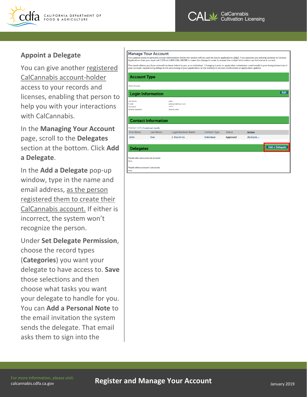



#### <span id="page-6-0"></span>**Appoint a Delegate**

You can give another registered CalCannabis account-holder access to your records and licenses, enabling that person to help you with your interactions with CalCannabis.

In the **Managing Your Account**  page, scroll to the **Delegates**  section at the bottom. Click **Add a Delegate**.

In the **Add a Delegate** pop-up window, type in the name and email address, as the person registered them to create their CalCannabis account. If either is incorrect, the system won't recognize the person.

Under **Set Delegate Permission**, choose the record types (**Categories**) you want your delegate to have access to. **Save**  those selections and then choose what tasks you want your delegate to handle for you. You can **Add a Personal Note** to the email invitation the system sends the delegate. That email asks them to sign into the

#### **Manage Your Account**

|                                                                        |                            | Any updates made to personal contact information within this section will be used for future applications <u>ONCT</u> . If you possess any existing Licenses or License<br>Applications then you must call CDFA at 1-833-CAL-GROW to make this change in order to ensure the contact information on the license is current. |                     |               |               |                       |
|------------------------------------------------------------------------|----------------------------|-----------------------------------------------------------------------------------------------------------------------------------------------------------------------------------------------------------------------------------------------------------------------------------------------------------------------------|---------------------|---------------|---------------|-----------------------|
|                                                                        |                            | The email address you have entered has been linked to you as an individual. Changing it prior to application submission could result in your being locked out of<br>your account, experiencing delays in the processing of your application, or the inability to receive notifications of application updates.              |                     |               |               |                       |
| <b>Account Type</b>                                                    |                            |                                                                                                                                                                                                                                                                                                                             |                     |               |               |                       |
| <b>Citizen Account</b>                                                 |                            |                                                                                                                                                                                                                                                                                                                             |                     |               |               |                       |
|                                                                        | <b>Login Information</b>   |                                                                                                                                                                                                                                                                                                                             |                     |               |               | Edit                  |
| <b>User Name:</b><br>F-mail:<br>Password:<br><b>Security Question:</b> |                            | jadoe<br>jadoe@mailinator.com<br>******<br>favorite color                                                                                                                                                                                                                                                                   |                     |               |               |                       |
|                                                                        | <b>Contact Information</b> |                                                                                                                                                                                                                                                                                                                             |                     |               |               |                       |
| Showing 1-1 of 1   Download results                                    |                            |                                                                                                                                                                                                                                                                                                                             |                     |               |               |                       |
| <b>First Name</b>                                                      | <b>Last Name</b>           | <b>Legal Business Name</b>                                                                                                                                                                                                                                                                                                  | <b>Contact Type</b> | <b>Status</b> | <b>Action</b> |                       |
| <b>John</b>                                                            | Doe                        | J. Doe & Co.                                                                                                                                                                                                                                                                                                                | <b>Individual</b>   | Approved      | Actions -     |                       |
| <b>Delegates</b>                                                       |                            |                                                                                                                                                                                                                                                                                                                             |                     |               |               | <b>Add a Delegate</b> |
| People who can access my account<br>None                               |                            |                                                                                                                                                                                                                                                                                                                             |                     |               |               |                       |
| People whose account I can access<br>None                              |                            |                                                                                                                                                                                                                                                                                                                             |                     |               |               |                       |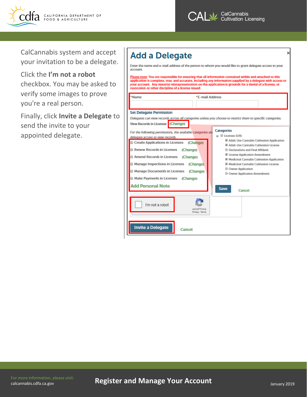



CalCannabis system and accept your invitation to be a delegate.

Click the **I'm not a robot**  checkbox. You may be asked to verify some images to prove you're a real person.

Finally, click **Invite a Delegate** to send the invite to your appointed delegate.

# **Add a Delegate**

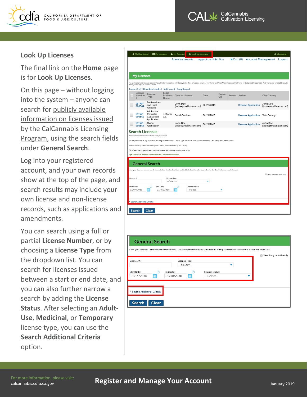



#### <span id="page-8-0"></span>**Look Up Licenses**

The final link on the **Home** page is for **Look Up Licenses**.

On this page – without logging into the system – anyone can search for publicly available information on licenses issued by the CalCannabis Licensing Program, using the search fields under **General Search**.

Log into your registered account, and your own records show at the top of the page, and search results may include your own license and non-license records, such as applications and amendments.

You can search using a full or partial **License Number**, or by choosing a **License Type** from the dropdown list. You can search for licenses issued between a start or end date, and you can also further narrow a search by adding the **License Status**. After selecting an **Adult-Use**, **Medicinal**, or **Temporary**  license type, you can use the **Search Additional Criteria**  option.



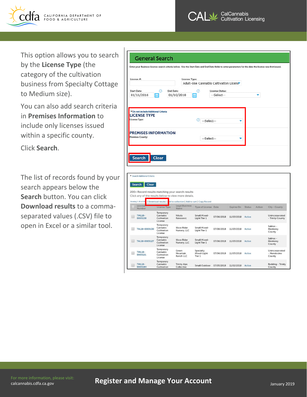



This option allows you to search by the **License Type** (the category of the cultivation business from Specialty Cottage to Medium size).

You can also add search criteria in **Premises Information** to include only licenses issued within a specific county.

Click **Search**.

The list of records found by your search appears below the **Search** button. You can click **Download results** to a commaseparated values (.CSV) file to open in Excel or a similar tool.

#### **General Search**

| License #:                                                                 |                         | License Type: | Adult-Use Cannabis Cultivation Licens |  |
|----------------------------------------------------------------------------|-------------------------|---------------|---------------------------------------|--|
| <b>Start Date:</b><br>⊚<br>01/11/2016                                      | End Date:<br>01/10/2018 | ⊚<br>■        | License Status:<br>--Select--         |  |
|                                                                            |                         |               |                                       |  |
| Do not include Additional Criteria<br><b>LICENSE TYPE</b><br>License Type: |                         | ω             | --Select--                            |  |

| Search Additional Criteria<br><b>Search</b><br><b>Clear</b> |                                                 |                                                                                                                |                                    |            |                   |               |        |                                         |
|-------------------------------------------------------------|-------------------------------------------------|----------------------------------------------------------------------------------------------------------------|------------------------------------|------------|-------------------|---------------|--------|-----------------------------------------|
|                                                             |                                                 | 200+ Record results matching your search results<br>Click any of the results below to view more details.       |                                    |            |                   |               |        |                                         |
| License                                                     |                                                 | Showing 1-20 of 200   Download results   dd to collection   Add to cart   Copy Record<br><b>Legal Business</b> |                                    |            |                   | <b>Status</b> | Action |                                         |
| Number                                                      | License Type                                    | Name                                                                                                           | <b>Type of License</b> Date        |            | <b>Expires On</b> |               |        | City - County                           |
| <b>TML18-</b><br>0005138                                    | Temporary<br>Cannabis<br>Cultivation<br>License | Nikola<br>Rakocevic                                                                                            | Small Mixed-<br>Light Tier 1       | 07/06/2018 | 11/03/2018        | Active        |        | Unincorporated<br>- Trinity County      |
| TAL18-0005130                                               | Temporary<br>Cannabis<br>Cultivation<br>License | <b>Wave Rider</b><br>Nursery, LLC                                                                              | Small Mixed-<br>Light Tier 1       | 07/06/2018 | 11/03/2018        | Active        |        | Salinas -<br>Monterey<br>County         |
| TAL18-0005127                                               | Temporary<br>Cannabis<br>Cultivation<br>License | <b>Wave Rider</b><br>Nursery, LLC                                                                              | Small Mixed-<br>Light Tier 1       | 07/06/2018 | 11/03/2018        | Active        |        | Salinas -<br>Monterey<br>County         |
| <b>TML18-</b><br>0005121                                    | Temporary<br>Cannabis<br>Cultivation<br>License | Green<br>Mountain<br>Ranch LLC                                                                                 | Specialty<br>Mixed-Light<br>Tier 1 | 07/06/2018 | 11/03/2018        | Active        |        | Unincorporated<br>- Mendocino<br>County |
| <b>TML18-</b><br>0005184                                    | Temporary<br>Cannabis<br>Cultivation            | <b>Trinity Alps</b><br>Collective                                                                              | Small Outdoor                      | 07/05/2018 | 11/02/2018        | Active        |        | Redding - Trinity<br>County             |

[calcannabis.cdfa.ca.gov](http://calcannabis.cdfa.ca.gov/) 

For more information, please visit:<br> [calcannabis.cdfa.ca.gov](http://calcannabis.cdfa.ca.gov/) January 2019<br> **Register and Manage Your Account**